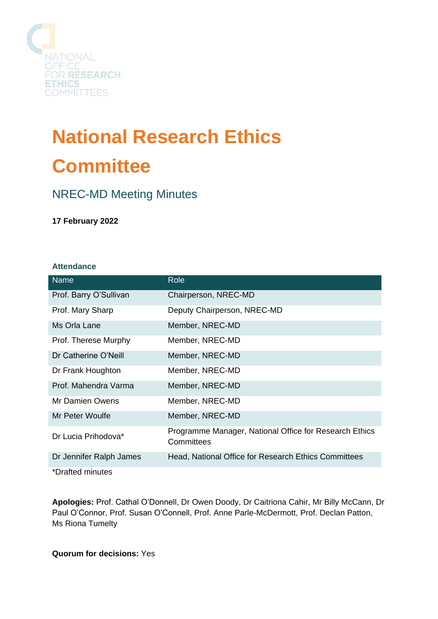

# **National Research Ethics Committee**

# NREC-MD Meeting Minutes

## **17 February 2022**

#### **Attendance**

| <b>Name</b>             | Role                                                                 |
|-------------------------|----------------------------------------------------------------------|
| Prof. Barry O'Sullivan  | Chairperson, NREC-MD                                                 |
| Prof. Mary Sharp        | Deputy Chairperson, NREC-MD                                          |
| Ms Orla Lane            | Member, NREC-MD                                                      |
| Prof. Therese Murphy    | Member, NREC-MD                                                      |
| Dr Catherine O'Neill    | Member, NREC-MD                                                      |
| Dr Frank Houghton       | Member, NREC-MD                                                      |
| Prof. Mahendra Varma    | Member, NREC-MD                                                      |
| Mr Damien Owens         | Member, NREC-MD                                                      |
| Mr Peter Woulfe         | Member, NREC-MD                                                      |
| Dr Lucia Prihodova*     | Programme Manager, National Office for Research Ethics<br>Committees |
| Dr Jennifer Ralph James | Head, National Office for Research Ethics Committees                 |
| *Drafted minutes        |                                                                      |

**Apologies:** Prof. Cathal O'Donnell, Dr Owen Doody, Dr Caitriona Cahir, Mr Billy McCann, Dr Paul O'Connor, Prof. Susan O'Connell, Prof. Anne Parle-McDermott, Prof. Declan Patton, Ms Riona Tumelty

**Quorum for decisions:** Yes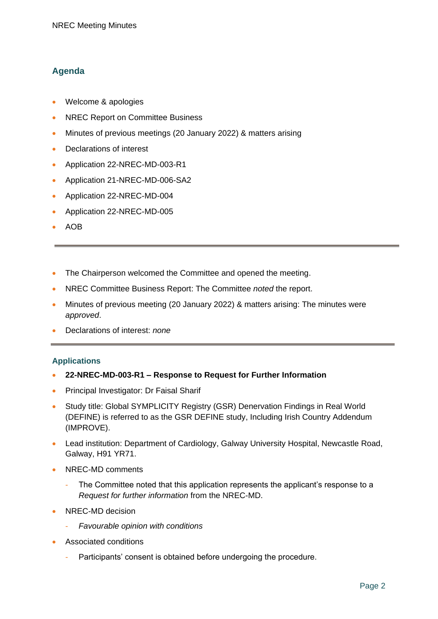## **Agenda**

- Welcome & apologies
- NREC Report on Committee Business
- Minutes of previous meetings (20 January 2022) & matters arising
- Declarations of interest
- Application 22-NREC-MD-003-R1
- Application 21-NREC-MD-006-SA2
- Application 22-NREC-MD-004
- Application 22-NREC-MD-005
- AOB
- The Chairperson welcomed the Committee and opened the meeting.
- NREC Committee Business Report: The Committee *noted* the report.
- Minutes of previous meeting (20 January 2022) & matters arising: The minutes were *approved*.
- Declarations of interest: *none*

#### **Applications**

- **22-NREC-MD-003-R1 – Response to Request for Further Information**
- Principal Investigator: Dr Faisal Sharif
- Study title: Global SYMPLICITY Registry (GSR) Denervation Findings in Real World (DEFINE) is referred to as the GSR DEFINE study, Including Irish Country Addendum (IMPROVE).
- Lead institution: Department of Cardiology, Galway University Hospital, Newcastle Road, Galway, H91 YR71.
- NREC-MD comments
	- The Committee noted that this application represents the applicant's response to a *Request for further information* from the NREC-MD.
- NREC-MD decision
	- *Favourable opinion with conditions*
- Associated conditions
	- Participants' consent is obtained before undergoing the procedure.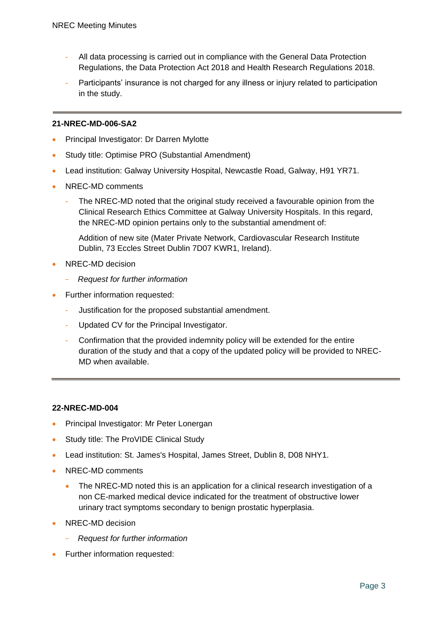- All data processing is carried out in compliance with the General Data Protection Regulations, the Data Protection Act 2018 and Health Research Regulations 2018.
- Participants' insurance is not charged for any illness or injury related to participation in the study.

#### **21-NREC-MD-006-SA2**

- Principal Investigator: Dr Darren Mylotte
- Study title: Optimise PRO (Substantial Amendment)
- Lead institution: Galway University Hospital, Newcastle Road, Galway, H91 YR71.
- NREC-MD comments
	- The NREC-MD noted that the original study received a favourable opinion from the Clinical Research Ethics Committee at Galway University Hospitals. In this regard, the NREC-MD opinion pertains only to the substantial amendment of:
		- Addition of new site (Mater Private Network, Cardiovascular Research Institute Dublin, 73 Eccles Street Dublin 7D07 KWR1, Ireland).
- NREC-MD decision
	- *Request for further information*
- Further information requested:
	- Justification for the proposed substantial amendment.
	- Updated CV for the Principal Investigator.
	- Confirmation that the provided indemnity policy will be extended for the entire duration of the study and that a copy of the updated policy will be provided to NREC-MD when available.

#### **22-NREC-MD-004**

- Principal Investigator: Mr Peter Lonergan
- Study title: The ProVIDE Clinical Study
- Lead institution: St. James's Hospital, James Street, Dublin 8, D08 NHY1.
- NREC-MD comments
	- The NREC-MD noted this is an application for a clinical research investigation of a non CE-marked medical device indicated for the treatment of obstructive lower urinary tract symptoms secondary to benign prostatic hyperplasia.
- NREC-MD decision
	- *Request for further information*
- Further information requested: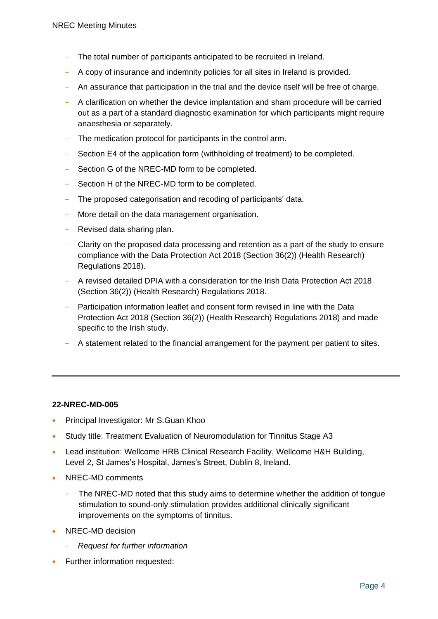- The total number of participants anticipated to be recruited in Ireland.
- A copy of insurance and indemnity policies for all sites in Ireland is provided.
- An assurance that participation in the trial and the device itself will be free of charge.
- A clarification on whether the device implantation and sham procedure will be carried out as a part of a standard diagnostic examination for which participants might require anaesthesia or separately.
- The medication protocol for participants in the control arm.
- Section E4 of the application form (withholding of treatment) to be completed.
- Section G of the NREC-MD form to be completed.
- Section H of the NREC-MD form to be completed.
- The proposed categorisation and recoding of participants' data.
- More detail on the data management organisation.
- Revised data sharing plan.
- Clarity on the proposed data processing and retention as a part of the study to ensure compliance with the Data Protection Act 2018 (Section 36(2)) (Health Research) Regulations 2018).
- A revised detailed DPIA with a consideration for the Irish Data Protection Act 2018 (Section 36(2)) (Health Research) Regulations 2018.
- Participation information leaflet and consent form revised in line with the Data Protection Act 2018 (Section 36(2)) (Health Research) Regulations 2018) and made specific to the Irish study.
- A statement related to the financial arrangement for the payment per patient to sites.

#### **22-NREC-MD-005**

- Principal Investigator: Mr S.Guan Khoo
- Study title: Treatment Evaluation of Neuromodulation for Tinnitus Stage A3
- Lead institution: Wellcome HRB Clinical Research Facility, Wellcome H&H Building, Level 2, St James's Hospital, James's Street, Dublin 8, Ireland.
- NREC-MD comments
	- The NREC-MD noted that this study aims to determine whether the addition of tongue stimulation to sound-only stimulation provides additional clinically significant improvements on the symptoms of tinnitus.
- NREC-MD decision
	- *Request for further information*
- Further information requested: